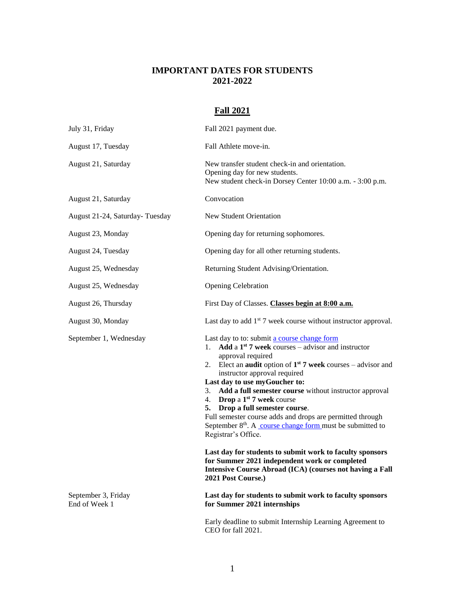### **IMPORTANT DATES FOR STUDENTS 2021-2022**

# **Fall 2021**

| July 31, Friday                | Fall 2021 payment due.                                                                                                                                                                                                                                                                                                                                                                                                                                                                                                                                                                                                                                                            |
|--------------------------------|-----------------------------------------------------------------------------------------------------------------------------------------------------------------------------------------------------------------------------------------------------------------------------------------------------------------------------------------------------------------------------------------------------------------------------------------------------------------------------------------------------------------------------------------------------------------------------------------------------------------------------------------------------------------------------------|
| August 17, Tuesday             | Fall Athlete move-in.                                                                                                                                                                                                                                                                                                                                                                                                                                                                                                                                                                                                                                                             |
| August 21, Saturday            | New transfer student check-in and orientation.<br>Opening day for new students.<br>New student check-in Dorsey Center 10:00 a.m. - 3:00 p.m.                                                                                                                                                                                                                                                                                                                                                                                                                                                                                                                                      |
| August 21, Saturday            | Convocation                                                                                                                                                                                                                                                                                                                                                                                                                                                                                                                                                                                                                                                                       |
| August 21-24, Saturday-Tuesday | New Student Orientation                                                                                                                                                                                                                                                                                                                                                                                                                                                                                                                                                                                                                                                           |
| August 23, Monday              | Opening day for returning sophomores.                                                                                                                                                                                                                                                                                                                                                                                                                                                                                                                                                                                                                                             |
| August 24, Tuesday             | Opening day for all other returning students.                                                                                                                                                                                                                                                                                                                                                                                                                                                                                                                                                                                                                                     |
| August 25, Wednesday           | Returning Student Advising/Orientation.                                                                                                                                                                                                                                                                                                                                                                                                                                                                                                                                                                                                                                           |
| August 25, Wednesday           | <b>Opening Celebration</b>                                                                                                                                                                                                                                                                                                                                                                                                                                                                                                                                                                                                                                                        |
| August 26, Thursday            | First Day of Classes. Classes begin at 8:00 a.m.                                                                                                                                                                                                                                                                                                                                                                                                                                                                                                                                                                                                                                  |
| August 30, Monday              | Last day to add $1st$ 7 week course without instructor approval.                                                                                                                                                                                                                                                                                                                                                                                                                                                                                                                                                                                                                  |
| September 1, Wednesday         | Last day to to: submit a course change form<br>1. Add a $1^{st}$ 7 week courses – advisor and instructor<br>approval required<br>2. Elect an <b>audit</b> option of $1^{st}$ 7 week courses – advisor and<br>instructor approval required<br>Last day to use myGoucher to:<br>Add a full semester course without instructor approval<br>3.<br>4. Drop a $1st$ 7 week course<br>Drop a full semester course.<br>5.<br>Full semester course adds and drops are permitted through<br>September $8th$ . A course change form must be submitted to<br>Registrar's Office.<br>Last day for students to submit work to faculty sponsors<br>for Summer 2021 independent work or completed |
| September 3, Friday            | <b>Intensive Course Abroad (ICA) (courses not having a Fall</b><br>2021 Post Course.)<br>Last day for students to submit work to faculty sponsors                                                                                                                                                                                                                                                                                                                                                                                                                                                                                                                                 |
| End of Week 1                  | for Summer 2021 internships<br>Early deadline to submit Internship Learning Agreement to                                                                                                                                                                                                                                                                                                                                                                                                                                                                                                                                                                                          |

CEO for fall 2021.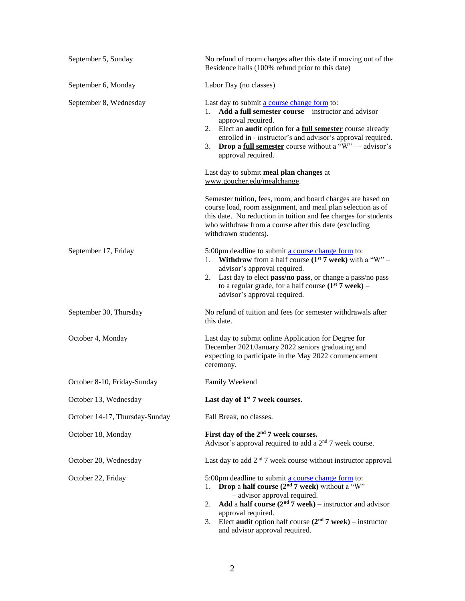| September 5, Sunday            | No refund of room charges after this date if moving out of the<br>Residence halls (100% refund prior to this date)                                                                                                                                                                                                                                                            |
|--------------------------------|-------------------------------------------------------------------------------------------------------------------------------------------------------------------------------------------------------------------------------------------------------------------------------------------------------------------------------------------------------------------------------|
| September 6, Monday            | Labor Day (no classes)                                                                                                                                                                                                                                                                                                                                                        |
| September 8, Wednesday         | Last day to submit a course change form to:<br>Add a full semester course – instructor and advisor<br>1.<br>approval required.<br>Elect an <b>audit</b> option for a <b>full semester</b> course already<br>2.<br>enrolled in - instructor's and advisor's approval required.<br><b>Drop a full semester</b> course without a " $W$ " — advisor's<br>3.<br>approval required. |
|                                | Last day to submit meal plan changes at<br>www.goucher.edu/mealchange.                                                                                                                                                                                                                                                                                                        |
|                                | Semester tuition, fees, room, and board charges are based on<br>course load, room assignment, and meal plan selection as of<br>this date. No reduction in tuition and fee charges for students<br>who withdraw from a course after this date (excluding<br>withdrawn students).                                                                                               |
| September 17, Friday           | 5:00pm deadline to submit a course change form to:<br><b>Withdraw</b> from a half course ( $1st$ 7 week) with a "W" –<br>1.<br>advisor's approval required.<br>Last day to elect pass/no pass, or change a pass/no pass<br>2.<br>to a regular grade, for a half course $(1st 7$ week) –<br>advisor's approval required.                                                       |
| September 30, Thursday         | No refund of tuition and fees for semester withdrawals after<br>this date.                                                                                                                                                                                                                                                                                                    |
| October 4, Monday              | Last day to submit online Application for Degree for<br>December 2021/January 2022 seniors graduating and<br>expecting to participate in the May 2022 commencement<br>ceremony.                                                                                                                                                                                               |
| October 8-10, Friday-Sunday    | Family Weekend                                                                                                                                                                                                                                                                                                                                                                |
| October 13, Wednesday          | Last day of $1st$ 7 week courses.                                                                                                                                                                                                                                                                                                                                             |
| October 14-17, Thursday-Sunday | Fall Break, no classes.                                                                                                                                                                                                                                                                                                                                                       |
| October 18, Monday             | First day of the 2 <sup>nd</sup> 7 week courses.<br>Advisor's approval required to add a $2nd$ 7 week course.                                                                                                                                                                                                                                                                 |
| October 20, Wednesday          | Last day to add $2nd$ 7 week course without instructor approval                                                                                                                                                                                                                                                                                                               |
| October 22, Friday             | 5:00pm deadline to submit a course change form to:<br>Drop a half course $(2nd 7$ week) without a "W"<br>1.<br>- advisor approval required.<br>Add a half course $(2nd 7$ week) – instructor and advisor<br>2.<br>approval required.<br>Elect audit option half course $(2nd 7$ week) – instructor<br>3.<br>and advisor approval required.                                    |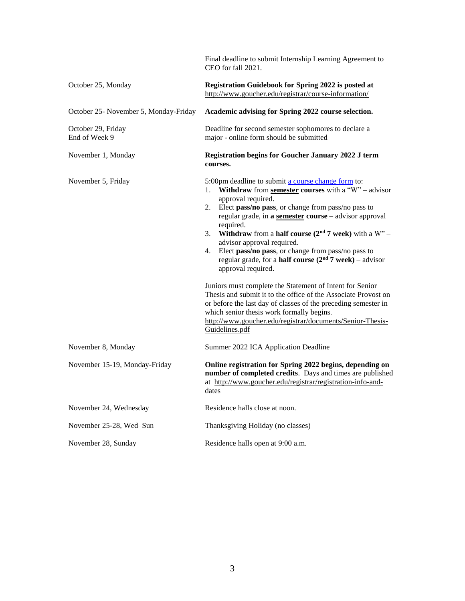|                                       | Final deadline to submit Internship Learning Agreement to<br>CEO for fall 2021.                                                                                                                                                                                                                                                                                                                                                                                                                                                                                                                                                                                                                                                                                                                                                                                                      |
|---------------------------------------|--------------------------------------------------------------------------------------------------------------------------------------------------------------------------------------------------------------------------------------------------------------------------------------------------------------------------------------------------------------------------------------------------------------------------------------------------------------------------------------------------------------------------------------------------------------------------------------------------------------------------------------------------------------------------------------------------------------------------------------------------------------------------------------------------------------------------------------------------------------------------------------|
| October 25, Monday                    | Registration Guidebook for Spring 2022 is posted at<br>http://www.goucher.edu/registrar/course-information/                                                                                                                                                                                                                                                                                                                                                                                                                                                                                                                                                                                                                                                                                                                                                                          |
| October 25- November 5, Monday-Friday | Academic advising for Spring 2022 course selection.                                                                                                                                                                                                                                                                                                                                                                                                                                                                                                                                                                                                                                                                                                                                                                                                                                  |
| October 29, Friday<br>End of Week 9   | Deadline for second semester sophomores to declare a<br>major - online form should be submitted                                                                                                                                                                                                                                                                                                                                                                                                                                                                                                                                                                                                                                                                                                                                                                                      |
| November 1, Monday                    | <b>Registration begins for Goucher January 2022 J term</b><br>courses.                                                                                                                                                                                                                                                                                                                                                                                                                                                                                                                                                                                                                                                                                                                                                                                                               |
| November 5, Friday                    | 5:00pm deadline to submit a course change form to:<br>Withdraw from semester courses with a "W" – advisor<br>1.<br>approval required.<br>Elect pass/no pass, or change from pass/no pass to<br>2.<br>regular grade, in a semester course - advisor approval<br>required.<br><b>Withdraw</b> from a <b>half course</b> ( $2nd$ 7 week) with a W <sup>**</sup> –<br>3.<br>advisor approval required.<br>Elect pass/no pass, or change from pass/no pass to<br>4.<br>regular grade, for a <b>half course</b> $(2nd 7$ week) – advisor<br>approval required.<br>Juniors must complete the Statement of Intent for Senior<br>Thesis and submit it to the office of the Associate Provost on<br>or before the last day of classes of the preceding semester in<br>which senior thesis work formally begins.<br>http://www.goucher.edu/registrar/documents/Senior-Thesis-<br>Guidelines.pdf |
| November 8, Monday                    | Summer 2022 ICA Application Deadline                                                                                                                                                                                                                                                                                                                                                                                                                                                                                                                                                                                                                                                                                                                                                                                                                                                 |
| November 15-19, Monday-Friday         | Online registration for Spring 2022 begins, depending on<br>number of completed credits. Days and times are published<br>at http://www.goucher.edu/registrar/registration-info-and-<br>dates                                                                                                                                                                                                                                                                                                                                                                                                                                                                                                                                                                                                                                                                                         |
| November 24, Wednesday                | Residence halls close at noon.                                                                                                                                                                                                                                                                                                                                                                                                                                                                                                                                                                                                                                                                                                                                                                                                                                                       |
| November 25-28, Wed-Sun               | Thanksgiving Holiday (no classes)                                                                                                                                                                                                                                                                                                                                                                                                                                                                                                                                                                                                                                                                                                                                                                                                                                                    |
| November 28, Sunday                   | Residence halls open at 9:00 a.m.                                                                                                                                                                                                                                                                                                                                                                                                                                                                                                                                                                                                                                                                                                                                                                                                                                                    |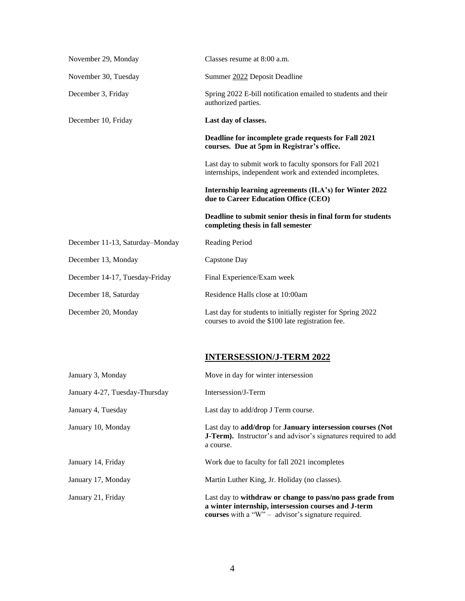| November 29, Monday             | Classes resume at 8:00 a.m.                                                                                          |
|---------------------------------|----------------------------------------------------------------------------------------------------------------------|
| November 30, Tuesday            | Summer 2022 Deposit Deadline                                                                                         |
| December 3, Friday              | Spring 2022 E-bill notification emailed to students and their<br>authorized parties.                                 |
| December 10, Friday             | Last day of classes.                                                                                                 |
|                                 | Deadline for incomplete grade requests for Fall 2021<br>courses. Due at 5pm in Registrar's office.                   |
|                                 | Last day to submit work to faculty sponsors for Fall 2021<br>internships, independent work and extended incompletes. |
|                                 | Internship learning agreements (ILA's) for Winter 2022<br>due to Career Education Office (CEO)                       |
|                                 | Deadline to submit senior thesis in final form for students<br>completing thesis in fall semester                    |
| December 11-13, Saturday-Monday | <b>Reading Period</b>                                                                                                |
| December 13, Monday             | Capstone Day                                                                                                         |
| December 14-17, Tuesday-Friday  | Final Experience/Exam week                                                                                           |
| December 18, Saturday           | Residence Halls close at 10:00am                                                                                     |
| December 20, Monday             | Last day for students to initially register for Spring 2022<br>courses to avoid the \$100 late registration fee.     |

# **INTERSESSION/J-TERM 2022**

| January 3, Monday              | Move in day for winter intersession                                                                                                                                            |
|--------------------------------|--------------------------------------------------------------------------------------------------------------------------------------------------------------------------------|
| January 4-27, Tuesday-Thursday | Intersession/J-Term                                                                                                                                                            |
| January 4, Tuesday             | Last day to add/drop J Term course.                                                                                                                                            |
| January 10, Monday             | Last day to add/drop for January intersession courses (Not<br>J-Term). Instructor's and advisor's signatures required to add<br>a course.                                      |
| January 14, Friday             | Work due to faculty for fall 2021 incompletes                                                                                                                                  |
| January 17, Monday             | Martin Luther King, Jr. Holiday (no classes).                                                                                                                                  |
| January 21, Friday             | Last day to withdraw or change to pass/no pass grade from<br>a winter internship, intersession courses and J-term<br><b>courses</b> with a "W" – advisor's signature required. |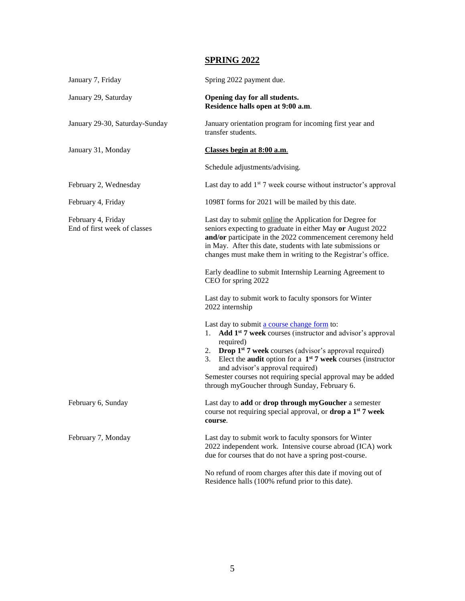# **SPRING 2022**

| January 7, Friday                                  | Spring 2022 payment due.                                                                                                                                                                                                                                                                                                                                                                                                                           |
|----------------------------------------------------|----------------------------------------------------------------------------------------------------------------------------------------------------------------------------------------------------------------------------------------------------------------------------------------------------------------------------------------------------------------------------------------------------------------------------------------------------|
| January 29, Saturday                               | Opening day for all students.<br>Residence halls open at 9:00 a.m.                                                                                                                                                                                                                                                                                                                                                                                 |
| January 29-30, Saturday-Sunday                     | January orientation program for incoming first year and<br>transfer students.                                                                                                                                                                                                                                                                                                                                                                      |
| January 31, Monday                                 | Classes begin at 8:00 a.m.                                                                                                                                                                                                                                                                                                                                                                                                                         |
|                                                    | Schedule adjustments/advising.                                                                                                                                                                                                                                                                                                                                                                                                                     |
| February 2, Wednesday                              | Last day to add $1st$ 7 week course without instructor's approval                                                                                                                                                                                                                                                                                                                                                                                  |
| February 4, Friday                                 | 1098T forms for 2021 will be mailed by this date.                                                                                                                                                                                                                                                                                                                                                                                                  |
| February 4, Friday<br>End of first week of classes | Last day to submit online the Application for Degree for<br>seniors expecting to graduate in either May or August 2022<br>and/or participate in the 2022 commencement ceremony held<br>in May. After this date, students with late submissions or<br>changes must make them in writing to the Registrar's office.                                                                                                                                  |
|                                                    | Early deadline to submit Internship Learning Agreement to<br>CEO for spring 2022                                                                                                                                                                                                                                                                                                                                                                   |
|                                                    | Last day to submit work to faculty sponsors for Winter<br>2022 internship                                                                                                                                                                                                                                                                                                                                                                          |
|                                                    | Last day to submit a course change form to:<br>1. Add 1 <sup>st</sup> 7 week courses (instructor and advisor's approval<br>required)<br>2. Drop 1 <sup>st</sup> 7 week courses (advisor's approval required)<br>Elect the <b>audit</b> option for a $1^{st}$ 7 week courses (instructor<br>3.<br>and advisor's approval required)<br>Semester courses not requiring special approval may be added<br>through myGoucher through Sunday, February 6. |
| February 6, Sunday                                 | Last day to add or drop through myGoucher a semester<br>course not requiring special approval, or <b>drop a 1</b> <sup>st</sup> 7 week<br>course.                                                                                                                                                                                                                                                                                                  |
| February 7, Monday                                 | Last day to submit work to faculty sponsors for Winter<br>2022 independent work. Intensive course abroad (ICA) work<br>due for courses that do not have a spring post-course.                                                                                                                                                                                                                                                                      |
|                                                    | No refund of room charges after this date if moving out of<br>Residence halls (100% refund prior to this date).                                                                                                                                                                                                                                                                                                                                    |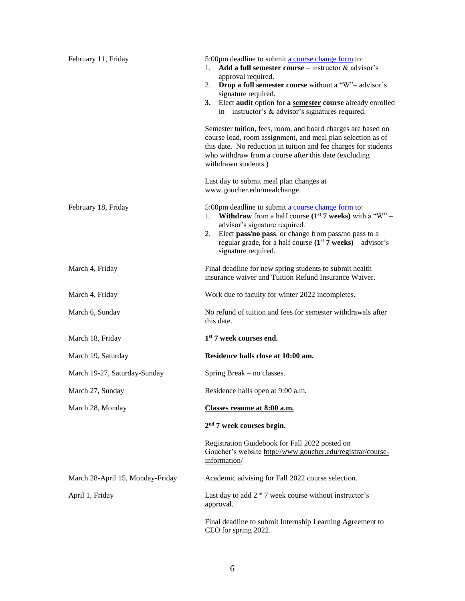| February 11, Friday              | 5:00pm deadline to submit a course change form to:<br>Add a full semester course – instructor $\&$ advisor's<br>1.<br>approval required.<br><b>Drop a full semester course</b> without a "W"- advisor's<br>2.<br>signature required.<br>3. Elect audit option for a semester course already enrolled<br>in – instructor's $\&$ advisor's signatures required.<br>Semester tuition, fees, room, and board charges are based on<br>course load, room assignment, and meal plan selection as of<br>this date. No reduction in tuition and fee charges for students<br>who withdraw from a course after this date (excluding<br>withdrawn students.)<br>Last day to submit meal plan changes at |
|----------------------------------|---------------------------------------------------------------------------------------------------------------------------------------------------------------------------------------------------------------------------------------------------------------------------------------------------------------------------------------------------------------------------------------------------------------------------------------------------------------------------------------------------------------------------------------------------------------------------------------------------------------------------------------------------------------------------------------------|
| February 18, Friday              | www.goucher.edu/mealchange.<br>5:00pm deadline to submit a course change form to:<br><b>Withdraw</b> from a half course $(1^{st} 7$ weeks) with a "W" –<br>1.<br>advisor's signature required.<br>Elect pass/no pass, or change from pass/no pass to a<br>2.<br>regular grade, for a half course $(1st 7 weeks) - advisor's$<br>signature required.                                                                                                                                                                                                                                                                                                                                         |
| March 4, Friday                  | Final deadline for new spring students to submit health<br>insurance waiver and Tuition Refund Insurance Waiver.                                                                                                                                                                                                                                                                                                                                                                                                                                                                                                                                                                            |
| March 4, Friday                  | Work due to faculty for winter 2022 incompletes.                                                                                                                                                                                                                                                                                                                                                                                                                                                                                                                                                                                                                                            |
| March 6, Sunday                  | No refund of tuition and fees for semester withdrawals after<br>this date.                                                                                                                                                                                                                                                                                                                                                                                                                                                                                                                                                                                                                  |
| March 18, Friday                 | 1 <sup>st</sup> 7 week courses end.                                                                                                                                                                                                                                                                                                                                                                                                                                                                                                                                                                                                                                                         |
| March 19, Saturday               | Residence halls close at 10:00 am.                                                                                                                                                                                                                                                                                                                                                                                                                                                                                                                                                                                                                                                          |
| March 19-27, Saturday-Sunday     | Spring Break – no classes.                                                                                                                                                                                                                                                                                                                                                                                                                                                                                                                                                                                                                                                                  |
| March 27, Sunday                 | Residence halls open at 9:00 a.m.                                                                                                                                                                                                                                                                                                                                                                                                                                                                                                                                                                                                                                                           |
| March 28, Monday                 | Classes resume at 8:00 a.m.                                                                                                                                                                                                                                                                                                                                                                                                                                                                                                                                                                                                                                                                 |
|                                  | 2 <sup>nd</sup> 7 week courses begin.                                                                                                                                                                                                                                                                                                                                                                                                                                                                                                                                                                                                                                                       |
|                                  | Registration Guidebook for Fall 2022 posted on<br>Goucher's website http://www.goucher.edu/registrar/course-<br>information/                                                                                                                                                                                                                                                                                                                                                                                                                                                                                                                                                                |
| March 28-April 15, Monday-Friday | Academic advising for Fall 2022 course selection.                                                                                                                                                                                                                                                                                                                                                                                                                                                                                                                                                                                                                                           |
| April 1, Friday                  | Last day to add $2nd$ 7 week course without instructor's<br>approval.                                                                                                                                                                                                                                                                                                                                                                                                                                                                                                                                                                                                                       |
|                                  | Final deadline to submit Internship Learning Agreement to<br>CEO for spring 2022.                                                                                                                                                                                                                                                                                                                                                                                                                                                                                                                                                                                                           |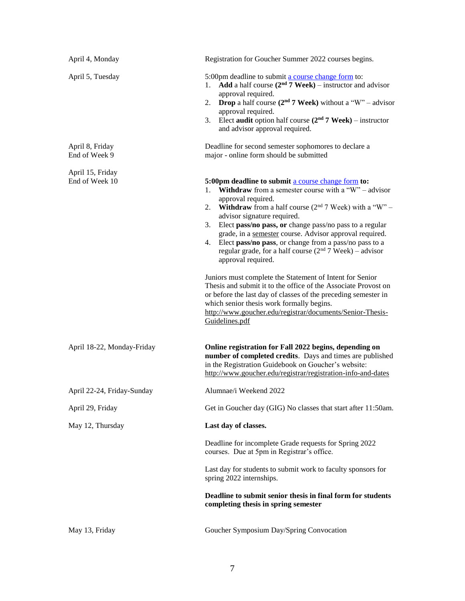| April 4, Monday                    | Registration for Goucher Summer 2022 courses begins.                                                                                                                                                                                                                                                                                                                                                                                                                                                                                                                                                                                                                                                                                                                                                                                                               |
|------------------------------------|--------------------------------------------------------------------------------------------------------------------------------------------------------------------------------------------------------------------------------------------------------------------------------------------------------------------------------------------------------------------------------------------------------------------------------------------------------------------------------------------------------------------------------------------------------------------------------------------------------------------------------------------------------------------------------------------------------------------------------------------------------------------------------------------------------------------------------------------------------------------|
| April 5, Tuesday                   | 5:00pm deadline to submit a course change form to:<br>Add a half course $(2nd 7$ Week) – instructor and advisor<br>1.<br>approval required.<br><b>Drop</b> a half course $(2^{nd} 7$ Week) without a "W" – advisor<br>2.<br>approval required.<br>Elect audit option half course $(2nd 7 Week) - instructor$<br>3.<br>and advisor approval required.                                                                                                                                                                                                                                                                                                                                                                                                                                                                                                               |
| April 8, Friday<br>End of Week 9   | Deadline for second semester sophomores to declare a<br>major - online form should be submitted                                                                                                                                                                                                                                                                                                                                                                                                                                                                                                                                                                                                                                                                                                                                                                    |
| April 15, Friday<br>End of Week 10 | 5:00pm deadline to submit a course change form to:<br><b>Withdraw</b> from a semester course with a "W" – advisor<br>1.<br>approval required.<br><b>Withdraw</b> from a half course $(2^{nd} 7$ Week) with a "W" –<br>2.<br>advisor signature required.<br>Elect pass/no pass, or change pass/no pass to a regular<br>3.<br>grade, in a semester course. Advisor approval required.<br>Elect pass/no pass, or change from a pass/no pass to a<br>4.<br>regular grade, for a half course $(2nd 7$ Week) – advisor<br>approval required.<br>Juniors must complete the Statement of Intent for Senior<br>Thesis and submit it to the office of the Associate Provost on<br>or before the last day of classes of the preceding semester in<br>which senior thesis work formally begins.<br>http://www.goucher.edu/registrar/documents/Senior-Thesis-<br>Guidelines.pdf |
| April 18-22, Monday-Friday         | Online registration for Fall 2022 begins, depending on<br>number of completed credits. Days and times are published<br>in the Registration Guidebook on Goucher's website:<br>http://www.goucher.edu/registrar/registration-info-and-dates                                                                                                                                                                                                                                                                                                                                                                                                                                                                                                                                                                                                                         |
| April 22-24, Friday-Sunday         | Alumnae/i Weekend 2022                                                                                                                                                                                                                                                                                                                                                                                                                                                                                                                                                                                                                                                                                                                                                                                                                                             |
| April 29, Friday                   | Get in Goucher day (GIG) No classes that start after 11:50am.                                                                                                                                                                                                                                                                                                                                                                                                                                                                                                                                                                                                                                                                                                                                                                                                      |
| May 12, Thursday                   | Last day of classes.                                                                                                                                                                                                                                                                                                                                                                                                                                                                                                                                                                                                                                                                                                                                                                                                                                               |
|                                    | Deadline for incomplete Grade requests for Spring 2022<br>courses. Due at 5pm in Registrar's office.                                                                                                                                                                                                                                                                                                                                                                                                                                                                                                                                                                                                                                                                                                                                                               |
|                                    | Last day for students to submit work to faculty sponsors for<br>spring 2022 internships.                                                                                                                                                                                                                                                                                                                                                                                                                                                                                                                                                                                                                                                                                                                                                                           |
|                                    | Deadline to submit senior thesis in final form for students<br>completing thesis in spring semester                                                                                                                                                                                                                                                                                                                                                                                                                                                                                                                                                                                                                                                                                                                                                                |
| May 13, Friday                     | Goucher Symposium Day/Spring Convocation                                                                                                                                                                                                                                                                                                                                                                                                                                                                                                                                                                                                                                                                                                                                                                                                                           |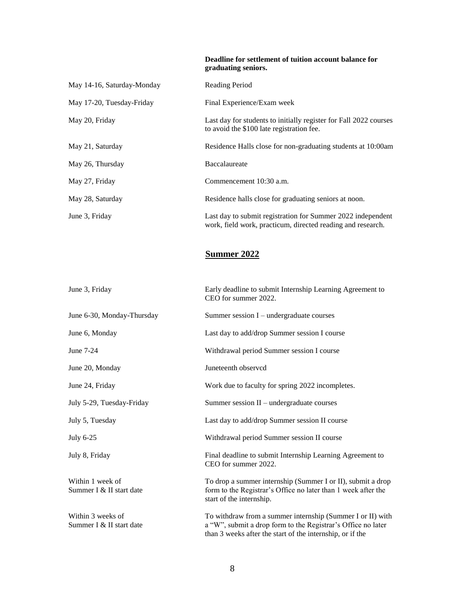**Deadline for settlement of tuition account balance for graduating seniors.**

| May 14-16, Saturday-Monday | Reading Period                                                                                                             |
|----------------------------|----------------------------------------------------------------------------------------------------------------------------|
| May 17-20, Tuesday-Friday  | Final Experience/Exam week                                                                                                 |
| May 20, Friday             | Last day for students to initially register for Fall 2022 courses<br>to avoid the \$100 late registration fee.             |
| May 21, Saturday           | Residence Halls close for non-graduating students at 10:00am                                                               |
| May 26, Thursday           | Baccalaureate                                                                                                              |
| May 27, Friday             | Commencement 10:30 a.m.                                                                                                    |
| May 28, Saturday           | Residence halls close for graduating seniors at noon.                                                                      |
| June 3, Friday             | Last day to submit registration for Summer 2022 independent<br>work, field work, practicum, directed reading and research. |

### **Summer 2022**

| June 3, Friday                                | Early deadline to submit Internship Learning Agreement to<br>CEO for summer 2022.                                                                                                       |
|-----------------------------------------------|-----------------------------------------------------------------------------------------------------------------------------------------------------------------------------------------|
| June 6-30, Monday-Thursday                    | Summer session $I$ – undergraduate courses                                                                                                                                              |
| June 6, Monday                                | Last day to add/drop Summer session I course                                                                                                                                            |
| June 7-24                                     | Withdrawal period Summer session I course                                                                                                                                               |
| June 20, Monday                               | Juneteenth observcd                                                                                                                                                                     |
| June 24, Friday                               | Work due to faculty for spring 2022 incompletes.                                                                                                                                        |
| July 5-29, Tuesday-Friday                     | Summer session II – undergraduate courses                                                                                                                                               |
| July 5, Tuesday                               | Last day to add/drop Summer session II course                                                                                                                                           |
| July 6-25                                     | Withdrawal period Summer session II course                                                                                                                                              |
| July 8, Friday                                | Final deadline to submit Internship Learning Agreement to<br>CEO for summer 2022.                                                                                                       |
| Within 1 week of<br>Summer I & II start date  | To drop a summer internship (Summer I or II), submit a drop<br>form to the Registrar's Office no later than 1 week after the<br>start of the internship.                                |
| Within 3 weeks of<br>Summer I & II start date | To withdraw from a summer internship (Summer I or II) with<br>a "W", submit a drop form to the Registrar's Office no later<br>than 3 weeks after the start of the internship, or if the |